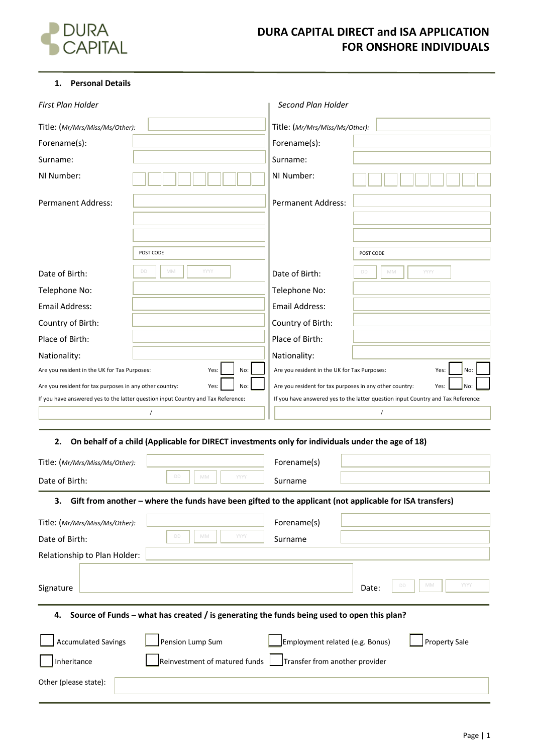

## **1. Personal Details**

| First Plan Holder                                                                                                                                                    |                                                                                                          | Second Plan Holder                                      |                                  |
|----------------------------------------------------------------------------------------------------------------------------------------------------------------------|----------------------------------------------------------------------------------------------------------|---------------------------------------------------------|----------------------------------|
| Title: (Mr/Mrs/Miss/Ms/Other):                                                                                                                                       |                                                                                                          | Title: (Mr/Mrs/Miss/Ms/Other):                          |                                  |
| Forename(s):                                                                                                                                                         |                                                                                                          | Forename(s):                                            |                                  |
| Surname:                                                                                                                                                             |                                                                                                          | Surname:                                                |                                  |
| NI Number:                                                                                                                                                           |                                                                                                          | NI Number:                                              |                                  |
| <b>Permanent Address:</b>                                                                                                                                            |                                                                                                          | <b>Permanent Address:</b>                               |                                  |
|                                                                                                                                                                      |                                                                                                          |                                                         |                                  |
|                                                                                                                                                                      | POST CODE                                                                                                |                                                         | POST CODE                        |
|                                                                                                                                                                      |                                                                                                          |                                                         |                                  |
| Date of Birth:                                                                                                                                                       | DD<br>MM<br>YYYY                                                                                         | Date of Birth:                                          | MM<br>YYYY<br>DD                 |
| Telephone No:                                                                                                                                                        |                                                                                                          | Telephone No:                                           |                                  |
| Email Address:                                                                                                                                                       |                                                                                                          | Email Address:                                          |                                  |
| Country of Birth:                                                                                                                                                    |                                                                                                          | Country of Birth:                                       |                                  |
| Place of Birth:                                                                                                                                                      |                                                                                                          | Place of Birth:                                         |                                  |
| Nationality:                                                                                                                                                         |                                                                                                          | Nationality:                                            |                                  |
| Are you resident in the UK for Tax Purposes:                                                                                                                         | No:<br>Yes:                                                                                              | Are you resident in the UK for Tax Purposes:            | No:<br>Yes:                      |
| Are you resident for tax purposes in any other country:                                                                                                              | No:<br>Yes:                                                                                              | Are you resident for tax purposes in any other country: | Yes:<br>No:                      |
| If you have answered yes to the latter question input Country and Tax Reference:<br>If you have answered yes to the latter question input Country and Tax Reference: |                                                                                                          |                                                         |                                  |
|                                                                                                                                                                      | $\prime$                                                                                                 |                                                         | $\prime$                         |
| 2.                                                                                                                                                                   | On behalf of a child (Applicable for DIRECT investments only for individuals under the age of 18)        |                                                         |                                  |
| Title: (Mr/Mrs/Miss/Ms/Other):                                                                                                                                       |                                                                                                          | Forename(s)                                             |                                  |
| Date of Birth:                                                                                                                                                       | DD<br>MM<br>YYYY                                                                                         | Surname                                                 |                                  |
| 3.                                                                                                                                                                   | Gift from another - where the funds have been gifted to the applicant (not applicable for ISA transfers) |                                                         |                                  |
| Title: (Mr/Mrs/Miss/Ms/Other):                                                                                                                                       |                                                                                                          | Forename(s)                                             |                                  |
| Date of Birth:                                                                                                                                                       | MM<br>YYYY<br>DD                                                                                         | Surname                                                 |                                  |
| Relationship to Plan Holder:                                                                                                                                         |                                                                                                          |                                                         |                                  |
|                                                                                                                                                                      |                                                                                                          |                                                         |                                  |
| Signature                                                                                                                                                            |                                                                                                          |                                                         | <b>MM</b><br>YYYY<br>DD<br>Date: |
| 4.                                                                                                                                                                   | Source of Funds - what has created / is generating the funds being used to open this plan?               |                                                         |                                  |
| <b>Accumulated Savings</b>                                                                                                                                           | Pension Lump Sum                                                                                         | Employment related (e.g. Bonus)                         | <b>Property Sale</b>             |
| Inheritance                                                                                                                                                          | Reinvestment of matured funds                                                                            | Transfer from another provider                          |                                  |
| Other (please state):                                                                                                                                                |                                                                                                          |                                                         |                                  |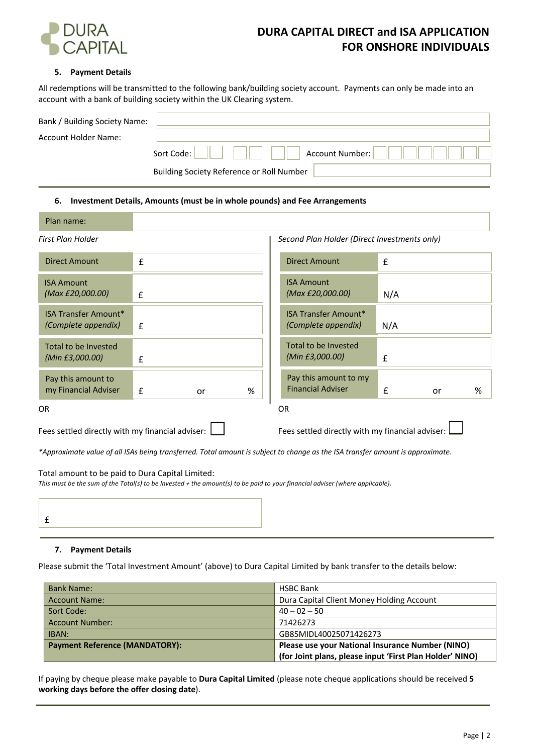

## **5. Payment Details**

All redemptions will be transmitted to the following bank/building society account. Payments can only be made into an account with a bank of building society within the UK Clearing system.

| Bank / Building Society Name: |                                           |
|-------------------------------|-------------------------------------------|
| Account Holder Name:          |                                           |
|                               | Account Number:<br>Sort Code:             |
|                               | Building Society Reference or Roll Number |

## **6. Investment Details, Amounts (must be in whole pounds) and Fee Arrangements**

| Plan name:                                                                                           |   |    |   |                                                    |     |    |   |
|------------------------------------------------------------------------------------------------------|---|----|---|----------------------------------------------------|-----|----|---|
| First Plan Holder                                                                                    |   |    |   | Second Plan Holder (Direct Investments only)       |     |    |   |
| <b>Direct Amount</b>                                                                                 | £ |    |   | <b>Direct Amount</b>                               | £   |    |   |
| <b>ISA Amount</b><br>(Max E20,000.00)                                                                | £ |    |   | <b>ISA Amount</b><br>(Max E20,000.00)              | N/A |    |   |
| <b>ISA Transfer Amount*</b><br>(Complete appendix)                                                   | £ |    |   | <b>ISA Transfer Amount*</b><br>(Complete appendix) | N/A |    |   |
| Total to be Invested<br>$(Min \pounds3,000.00)$                                                      | £ |    |   | Total to be Invested<br>$(Min \pounds3,000.00)$    | £   |    |   |
| Pay this amount to<br>my Financial Adviser                                                           | £ | or | % | Pay this amount to my<br><b>Financial Adviser</b>  | f   | or | % |
| OR.                                                                                                  |   |    |   | <b>OR</b>                                          |     |    |   |
| Fees settled directly with my financial adviser:<br>Fees settled directly with my financial adviser: |   |    |   |                                                    |     |    |   |

*\*Approximate value of all ISAs being transferred. Total amount is subject to change as the ISA transfer amount is approximate.* 

Total amount to be paid to Dura Capital Limited: *This must be the sum of the Total(s) to be Invested + the amount(s) to be paid to your financial adviser (where applicable).*

## **7. Payment Details**

Please submit the 'Total Investment Amount' (above) to Dura Capital Limited by bank transfer to the details below:

| <b>Bank Name:</b>                     | <b>HSBC Bank</b>                                         |  |
|---------------------------------------|----------------------------------------------------------|--|
| <b>Account Name:</b>                  | Dura Capital Client Money Holding Account                |  |
| Sort Code:                            | $40 - 02 - 50$                                           |  |
| <b>Account Number:</b>                | 71426273                                                 |  |
| IBAN:                                 | GB85MIDL40025071426273                                   |  |
| <b>Payment Reference (MANDATORY):</b> | Please use your National Insurance Number (NINO)         |  |
|                                       | (for Joint plans, please input 'First Plan Holder' NINO) |  |

If paying by cheque please make payable to **Dura Capital Limited** (please note cheque applications should be received **5 working days before the offer closing date**).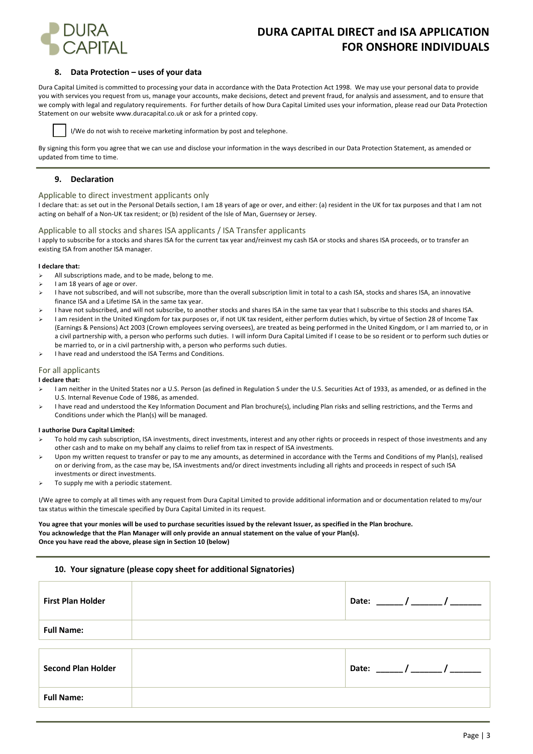

## **8. Data Protection – uses of your data**

Dura Capital Limited is committed to processing your data in accordance with the Data Protection Act 1998. We may use your personal data to provide you with services you request from us, manage your accounts, make decisions, detect and prevent fraud, for analysis and assessment, and to ensure that we comply with legal and regulatory requirements. For further details of how Dura Capital Limited uses your information, please read our Data Protection Statement on our website www.duracapital.co.uk or ask for a printed copy.

I/We do not wish to receive marketing information by post and telephone.

By signing this form you agree that we can use and disclose your information in the ways described in our Data Protection Statement, as amended or updated from time to time.

## **9. Declaration**

#### Applicable to direct investment applicants only

I declare that: as set out in the Personal Details section, I am 18 years of age or over, and either: (a) resident in the UK for tax purposes and that I am not acting on behalf of a Non-UK tax resident; or (b) resident of the Isle of Man, Guernsey or Jersey.

### Applicable to all stocks and shares ISA applicants / ISA Transfer applicants

I apply to subscribe for a stocks and shares ISA for the current tax year and/reinvest my cash ISA or stocks and shares ISA proceeds, or to transfer an existing ISA from another ISA manager.

#### **I declare that:**

- All subscriptions made, and to be made, belong to me.
- Ø I am 18 years of age or over.
- Ø I have not subscribed, and will not subscribe, more than the overall subscription limit in total to a cash ISA, stocks and shares ISA, an innovative finance ISA and a Lifetime ISA in the same tax year.
- Ø I have not subscribed, and will not subscribe, to another stocks and shares ISA in the same tax year that I subscribe to this stocks and shares ISA.
- I am resident in the United Kingdom for tax purposes or, if not UK tax resident, either perform duties which, by virtue of Section 28 of Income Tax (Earnings & Pensions) Act 2003 (Crown employees serving oversees), are treated as being performed in the United Kingdom, or I am married to, or in a civil partnership with, a person who performs such duties. I will inform Dura Capital Limited if I cease to be so resident or to perform such duties or be married to, or in a civil partnership with, a person who performs such duties.
- $\triangleright$  I have read and understood the ISA Terms and Conditions.

#### For all applicants

### **I declare that:**

- I am neither in the United States nor a U.S. Person (as defined in Regulation S under the U.S. Securities Act of 1933, as amended, or as defined in the U.S. Internal Revenue Code of 1986, as amended.
- > I have read and understood the Key Information Document and Plan brochure(s), including Plan risks and selling restrictions, and the Terms and Conditions under which the Plan(s) will be managed.

#### **I authorise Dura Capital Limited:**

- To hold my cash subscription, ISA investments, direct investments, interest and any other rights or proceeds in respect of those investments and any other cash and to make on my behalf any claims to relief from tax in respect of ISA investments.
- Upon my written request to transfer or pay to me any amounts, as determined in accordance with the Terms and Conditions of my Plan(s), realised on or deriving from, as the case may be, ISA investments and/or direct investments including all rights and proceeds in respect of such ISA investments or direct investments.
- $\triangleright$  To supply me with a periodic statement.

I/We agree to comply at all times with any request from Dura Capital Limited to provide additional information and or documentation related to my/our tax status within the timescale specified by Dura Capital Limited in its request.

**You agree that your monies will be used to purchase securities issued by the relevant Issuer, as specified in the Plan brochure. You acknowledge that the Plan Manager will only provide an annual statement on the value of your Plan(s). Once you have read the above, please sign in Section 10 (below)**

### **10. Your signature (please copy sheet for additional Signatories)**

| <b>First Plan Holder</b>  | Date: $\frac{1}{\sqrt{1-\frac{1}{2}}}\left( \frac{1}{\sqrt{1-\frac{1}{2}}}\right)$ |
|---------------------------|------------------------------------------------------------------------------------|
| <b>Full Name:</b>         |                                                                                    |
|                           |                                                                                    |
| <b>Second Plan Holder</b> | Date: $\frac{1}{\sqrt{1-\frac{1}{2}}}\left( \frac{1}{\sqrt{1-\frac{1}{2}}}\right)$ |
| <b>Full Name:</b>         |                                                                                    |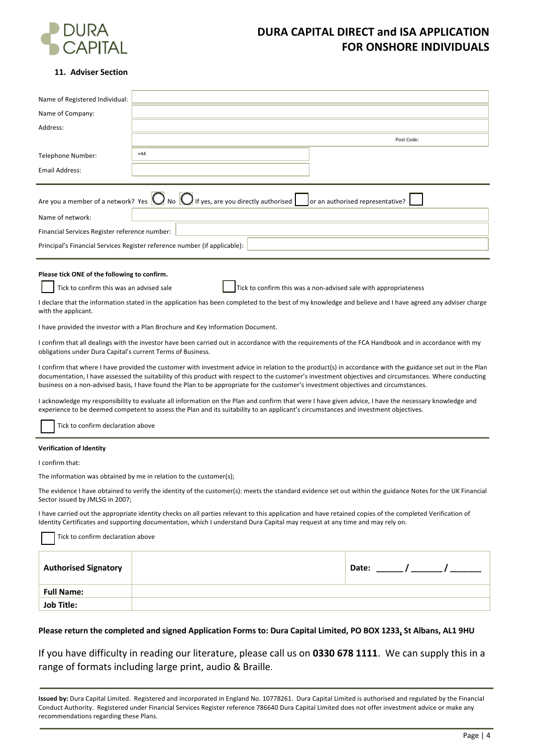

## **11. Adviser Section**

| Name of Registered Individual:                                                                                                                                                                                                                                                                                                                                                                                                                                                                                                                                                                                                                                                                                                                                                                                                                                                                                                                                                                                                                                                                                                                                                                                                                                                                                                                                                                                              |  |  |
|-----------------------------------------------------------------------------------------------------------------------------------------------------------------------------------------------------------------------------------------------------------------------------------------------------------------------------------------------------------------------------------------------------------------------------------------------------------------------------------------------------------------------------------------------------------------------------------------------------------------------------------------------------------------------------------------------------------------------------------------------------------------------------------------------------------------------------------------------------------------------------------------------------------------------------------------------------------------------------------------------------------------------------------------------------------------------------------------------------------------------------------------------------------------------------------------------------------------------------------------------------------------------------------------------------------------------------------------------------------------------------------------------------------------------------|--|--|
| Name of Company:                                                                                                                                                                                                                                                                                                                                                                                                                                                                                                                                                                                                                                                                                                                                                                                                                                                                                                                                                                                                                                                                                                                                                                                                                                                                                                                                                                                                            |  |  |
| Address:                                                                                                                                                                                                                                                                                                                                                                                                                                                                                                                                                                                                                                                                                                                                                                                                                                                                                                                                                                                                                                                                                                                                                                                                                                                                                                                                                                                                                    |  |  |
| Post Code:                                                                                                                                                                                                                                                                                                                                                                                                                                                                                                                                                                                                                                                                                                                                                                                                                                                                                                                                                                                                                                                                                                                                                                                                                                                                                                                                                                                                                  |  |  |
| $+44$<br>Telephone Number:                                                                                                                                                                                                                                                                                                                                                                                                                                                                                                                                                                                                                                                                                                                                                                                                                                                                                                                                                                                                                                                                                                                                                                                                                                                                                                                                                                                                  |  |  |
| <b>Email Address:</b>                                                                                                                                                                                                                                                                                                                                                                                                                                                                                                                                                                                                                                                                                                                                                                                                                                                                                                                                                                                                                                                                                                                                                                                                                                                                                                                                                                                                       |  |  |
| Are you a member of a network? Yes $\bigcirc$ No $\bigcirc$ If yes, are you directly authorised<br>or an authorised representative?                                                                                                                                                                                                                                                                                                                                                                                                                                                                                                                                                                                                                                                                                                                                                                                                                                                                                                                                                                                                                                                                                                                                                                                                                                                                                         |  |  |
| Name of network:                                                                                                                                                                                                                                                                                                                                                                                                                                                                                                                                                                                                                                                                                                                                                                                                                                                                                                                                                                                                                                                                                                                                                                                                                                                                                                                                                                                                            |  |  |
| Financial Services Register reference number:                                                                                                                                                                                                                                                                                                                                                                                                                                                                                                                                                                                                                                                                                                                                                                                                                                                                                                                                                                                                                                                                                                                                                                                                                                                                                                                                                                               |  |  |
| Principal's Financial Services Register reference number (if applicable):                                                                                                                                                                                                                                                                                                                                                                                                                                                                                                                                                                                                                                                                                                                                                                                                                                                                                                                                                                                                                                                                                                                                                                                                                                                                                                                                                   |  |  |
| Please tick ONE of the following to confirm.<br>Tick to confirm this was a non-advised sale with appropriateness<br>Tick to confirm this was an advised sale<br>I declare that the information stated in the application has been completed to the best of my knowledge and believe and I have agreed any adviser charge<br>with the applicant.<br>I have provided the investor with a Plan Brochure and Key Information Document.<br>I confirm that all dealings with the investor have been carried out in accordance with the requirements of the FCA Handbook and in accordance with my<br>obligations under Dura Capital's current Terms of Business.<br>I confirm that where I have provided the customer with investment advice in relation to the product(s) in accordance with the guidance set out in the Plan<br>documentation, I have assessed the suitability of this product with respect to the customer's investment objectives and circumstances. Where conducting<br>business on a non-advised basis, I have found the Plan to be appropriate for the customer's investment objectives and circumstances.<br>I acknowledge my responsibility to evaluate all information on the Plan and confirm that were I have given advice, I have the necessary knowledge and<br>experience to be deemed competent to assess the Plan and its suitability to an applicant's circumstances and investment objectives. |  |  |
| Tick to confirm declaration above                                                                                                                                                                                                                                                                                                                                                                                                                                                                                                                                                                                                                                                                                                                                                                                                                                                                                                                                                                                                                                                                                                                                                                                                                                                                                                                                                                                           |  |  |
| <b>Verification of Identity</b>                                                                                                                                                                                                                                                                                                                                                                                                                                                                                                                                                                                                                                                                                                                                                                                                                                                                                                                                                                                                                                                                                                                                                                                                                                                                                                                                                                                             |  |  |
| I confirm that:                                                                                                                                                                                                                                                                                                                                                                                                                                                                                                                                                                                                                                                                                                                                                                                                                                                                                                                                                                                                                                                                                                                                                                                                                                                                                                                                                                                                             |  |  |
| The information was obtained by me in relation to the customer(s);                                                                                                                                                                                                                                                                                                                                                                                                                                                                                                                                                                                                                                                                                                                                                                                                                                                                                                                                                                                                                                                                                                                                                                                                                                                                                                                                                          |  |  |
| The evidence I have obtained to verify the identity of the customer(s): meets the standard evidence set out within the guidance Notes for the UK Financial<br>Sector issued by JMLSG in 2007;                                                                                                                                                                                                                                                                                                                                                                                                                                                                                                                                                                                                                                                                                                                                                                                                                                                                                                                                                                                                                                                                                                                                                                                                                               |  |  |
| I have carried out the appropriate identity checks on all parties relevant to this application and have retained copies of the completed Verification of<br>Identity Certificates and supporting documentation, which I understand Dura Capital may request at any time and may rely on.                                                                                                                                                                                                                                                                                                                                                                                                                                                                                                                                                                                                                                                                                                                                                                                                                                                                                                                                                                                                                                                                                                                                    |  |  |
| Tick to confirm declaration above                                                                                                                                                                                                                                                                                                                                                                                                                                                                                                                                                                                                                                                                                                                                                                                                                                                                                                                                                                                                                                                                                                                                                                                                                                                                                                                                                                                           |  |  |
| <b>Authorised Signatory</b>                                                                                                                                                                                                                                                                                                                                                                                                                                                                                                                                                                                                                                                                                                                                                                                                                                                                                                                                                                                                                                                                                                                                                                                                                                                                                                                                                                                                 |  |  |
| <b>Full Name:</b>                                                                                                                                                                                                                                                                                                                                                                                                                                                                                                                                                                                                                                                                                                                                                                                                                                                                                                                                                                                                                                                                                                                                                                                                                                                                                                                                                                                                           |  |  |
| <b>Job Title:</b>                                                                                                                                                                                                                                                                                                                                                                                                                                                                                                                                                                                                                                                                                                                                                                                                                                                                                                                                                                                                                                                                                                                                                                                                                                                                                                                                                                                                           |  |  |

**Please return the completed and signed Application Forms to: Dura Capital Limited, PO BOX 1233, St Albans, AL1 9HU**

If you have difficulty in reading our literature, please call us on **0330 678 1111**. We can supply this in a range of formats including large print, audio & Braille.

**Issued by:** Dura Capital Limited. Registered and incorporated in England No. 10778261. Dura Capital Limited is authorised and regulated by the Financial Conduct Authority. Registered under Financial Services Register reference 786640 Dura Capital Limited does not offer investment advice or make any recommendations regarding these Plans.